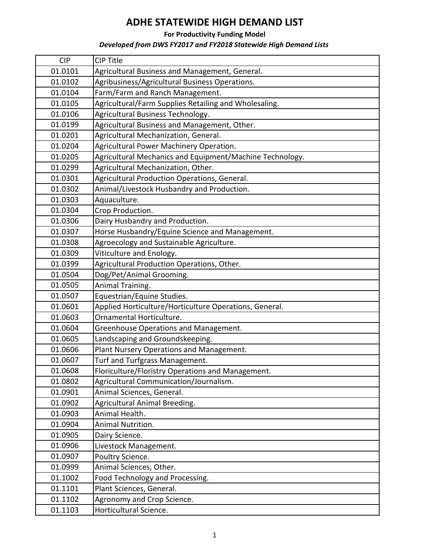#### **For Productivity Funding Model**

| <b>CIP</b> | <b>CIP Title</b>                                         |
|------------|----------------------------------------------------------|
| 01.0101    | Agricultural Business and Management, General.           |
| 01.0102    | Agribusiness/Agricultural Business Operations.           |
| 01.0104    | Farm/Farm and Ranch Management.                          |
| 01.0105    | Agricultural/Farm Supplies Retailing and Wholesaling.    |
| 01.0106    | Agricultural Business Technology.                        |
| 01.0199    | Agricultural Business and Management, Other.             |
| 01.0201    | Agricultural Mechanization, General.                     |
| 01.0204    | Agricultural Power Machinery Operation.                  |
| 01.0205    | Agricultural Mechanics and Equipment/Machine Technology. |
| 01.0299    | Agricultural Mechanization, Other.                       |
| 01.0301    | Agricultural Production Operations, General.             |
| 01.0302    | Animal/Livestock Husbandry and Production.               |
| 01.0303    | Aquaculture.                                             |
| 01.0304    | Crop Production.                                         |
| 01.0306    | Dairy Husbandry and Production.                          |
| 01.0307    | Horse Husbandry/Equine Science and Management.           |
| 01.0308    | Agroecology and Sustainable Agriculture.                 |
| 01.0309    | Viticulture and Enology.                                 |
| 01.0399    | Agricultural Production Operations, Other.               |
| 01.0504    | Dog/Pet/Animal Grooming.                                 |
| 01.0505    | Animal Training.                                         |
| 01.0507    | Equestrian/Equine Studies.                               |
| 01.0601    | Applied Horticulture/Horticulture Operations, General.   |
| 01.0603    | Ornamental Horticulture.                                 |
| 01.0604    | Greenhouse Operations and Management.                    |
| 01.0605    | Landscaping and Groundskeeping.                          |
| 01.0606    | Plant Nursery Operations and Management.                 |
| 01.0607    | Turf and Turfgrass Management.                           |
| 01.0608    | Floriculture/Floristry Operations and Management.        |
| 01.0802    | Agricultural Communication/Journalism.                   |
| 01.0901    | Animal Sciences, General.                                |
| 01.0902    | Agricultural Animal Breeding.                            |
| 01.0903    | Animal Health.                                           |
| 01.0904    | Animal Nutrition.                                        |
| 01.0905    | Dairy Science.                                           |
| 01.0906    | Livestock Management.                                    |
| 01.0907    | Poultry Science.                                         |
| 01.0999    | Animal Sciences, Other.                                  |
| 01.1002    | Food Technology and Processing.                          |
| 01.1101    | Plant Sciences, General.                                 |
| 01.1102    | Agronomy and Crop Science.                               |
| 01.1103    | Horticultural Science.                                   |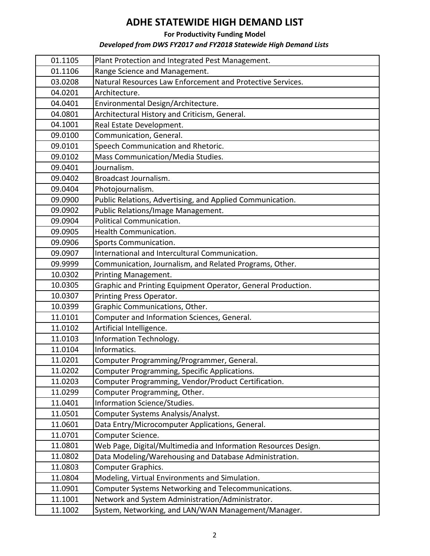**For Productivity Funding Model**

| 01.1105 | Plant Protection and Integrated Pest Management.               |
|---------|----------------------------------------------------------------|
| 01.1106 | Range Science and Management.                                  |
| 03.0208 | Natural Resources Law Enforcement and Protective Services.     |
| 04.0201 | Architecture.                                                  |
| 04.0401 | Environmental Design/Architecture.                             |
| 04.0801 | Architectural History and Criticism, General.                  |
| 04.1001 | Real Estate Development.                                       |
| 09.0100 | Communication, General.                                        |
| 09.0101 | Speech Communication and Rhetoric.                             |
| 09.0102 | Mass Communication/Media Studies.                              |
| 09.0401 | Journalism.                                                    |
| 09.0402 | Broadcast Journalism.                                          |
| 09.0404 | Photojournalism.                                               |
| 09.0900 | Public Relations, Advertising, and Applied Communication.      |
| 09.0902 | Public Relations/Image Management.                             |
| 09.0904 | Political Communication.                                       |
| 09.0905 | Health Communication.                                          |
| 09.0906 | Sports Communication.                                          |
| 09.0907 | International and Intercultural Communication.                 |
| 09.9999 | Communication, Journalism, and Related Programs, Other.        |
| 10.0302 | Printing Management.                                           |
| 10.0305 | Graphic and Printing Equipment Operator, General Production.   |
| 10.0307 | Printing Press Operator.                                       |
| 10.0399 | Graphic Communications, Other.                                 |
| 11.0101 | Computer and Information Sciences, General.                    |
| 11.0102 | Artificial Intelligence.                                       |
| 11.0103 | Information Technology.                                        |
| 11.0104 | Informatics.                                                   |
| 11.0201 | Computer Programming/Programmer, General.                      |
| 11.0202 | Computer Programming, Specific Applications.                   |
| 11.0203 | Computer Programming, Vendor/Product Certification.            |
| 11.0299 | Computer Programming, Other.                                   |
| 11.0401 | Information Science/Studies.                                   |
| 11.0501 | Computer Systems Analysis/Analyst.                             |
| 11.0601 | Data Entry/Microcomputer Applications, General.                |
| 11.0701 | Computer Science.                                              |
| 11.0801 | Web Page, Digital/Multimedia and Information Resources Design. |
| 11.0802 | Data Modeling/Warehousing and Database Administration.         |
| 11.0803 | Computer Graphics.                                             |
| 11.0804 | Modeling, Virtual Environments and Simulation.                 |
| 11.0901 | Computer Systems Networking and Telecommunications.            |
| 11.1001 | Network and System Administration/Administrator.               |
| 11.1002 | System, Networking, and LAN/WAN Management/Manager.            |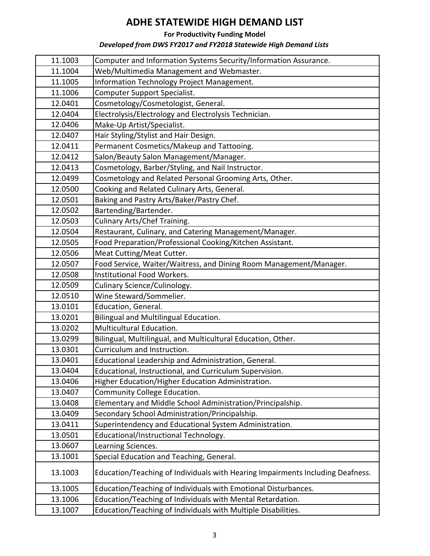**For Productivity Funding Model**

| 11.1003 | Computer and Information Systems Security/Information Assurance.               |
|---------|--------------------------------------------------------------------------------|
| 11.1004 | Web/Multimedia Management and Webmaster.                                       |
| 11.1005 | Information Technology Project Management.                                     |
| 11.1006 | Computer Support Specialist.                                                   |
| 12.0401 | Cosmetology/Cosmetologist, General.                                            |
| 12.0404 | Electrolysis/Electrology and Electrolysis Technician.                          |
| 12.0406 | Make-Up Artist/Specialist.                                                     |
| 12.0407 | Hair Styling/Stylist and Hair Design.                                          |
| 12.0411 | Permanent Cosmetics/Makeup and Tattooing.                                      |
| 12.0412 | Salon/Beauty Salon Management/Manager.                                         |
| 12.0413 | Cosmetology, Barber/Styling, and Nail Instructor.                              |
| 12.0499 | Cosmetology and Related Personal Grooming Arts, Other.                         |
| 12.0500 | Cooking and Related Culinary Arts, General.                                    |
| 12.0501 | Baking and Pastry Arts/Baker/Pastry Chef.                                      |
| 12.0502 | Bartending/Bartender.                                                          |
| 12.0503 | Culinary Arts/Chef Training.                                                   |
| 12.0504 | Restaurant, Culinary, and Catering Management/Manager.                         |
| 12.0505 | Food Preparation/Professional Cooking/Kitchen Assistant.                       |
| 12.0506 | Meat Cutting/Meat Cutter.                                                      |
| 12.0507 | Food Service, Waiter/Waitress, and Dining Room Management/Manager.             |
| 12.0508 | Institutional Food Workers.                                                    |
| 12.0509 | Culinary Science/Culinology.                                                   |
| 12.0510 | Wine Steward/Sommelier.                                                        |
| 13.0101 | Education, General.                                                            |
| 13.0201 | Bilingual and Multilingual Education.                                          |
| 13.0202 | Multicultural Education.                                                       |
| 13.0299 | Bilingual, Multilingual, and Multicultural Education, Other.                   |
| 13.0301 | Curriculum and Instruction.                                                    |
| 13.0401 | Educational Leadership and Administration, General.                            |
| 13.0404 | Educational, Instructional, and Curriculum Supervision.                        |
| 13.0406 | Higher Education/Higher Education Administration.                              |
| 13.0407 | Community College Education.                                                   |
| 13.0408 | Elementary and Middle School Administration/Principalship.                     |
| 13.0409 | Secondary School Administration/Principalship.                                 |
| 13.0411 | Superintendency and Educational System Administration.                         |
| 13.0501 | Educational/Instructional Technology.                                          |
| 13.0607 | Learning Sciences.                                                             |
| 13.1001 | Special Education and Teaching, General.                                       |
| 13.1003 | Education/Teaching of Individuals with Hearing Impairments Including Deafness. |
| 13.1005 | Education/Teaching of Individuals with Emotional Disturbances.                 |
| 13.1006 | Education/Teaching of Individuals with Mental Retardation.                     |
| 13.1007 | Education/Teaching of Individuals with Multiple Disabilities.                  |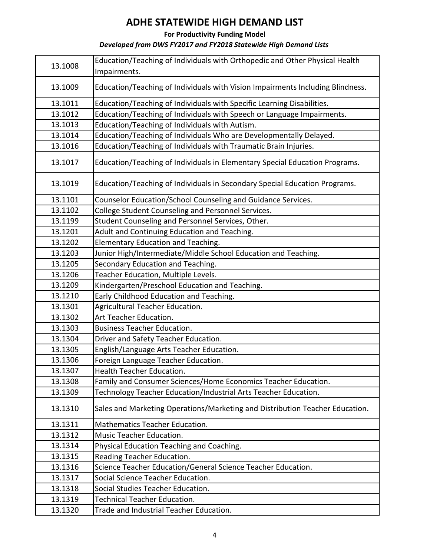#### **For Productivity Funding Model**

| 13.1008 | Education/Teaching of Individuals with Orthopedic and Other Physical Health<br>Impairments. |
|---------|---------------------------------------------------------------------------------------------|
| 13.1009 | Education/Teaching of Individuals with Vision Impairments Including Blindness.              |
| 13.1011 | Education/Teaching of Individuals with Specific Learning Disabilities.                      |
| 13.1012 | Education/Teaching of Individuals with Speech or Language Impairments.                      |
| 13.1013 | Education/Teaching of Individuals with Autism.                                              |
| 13.1014 | Education/Teaching of Individuals Who are Developmentally Delayed.                          |
| 13.1016 | Education/Teaching of Individuals with Traumatic Brain Injuries.                            |
| 13.1017 | Education/Teaching of Individuals in Elementary Special Education Programs.                 |
| 13.1019 | Education/Teaching of Individuals in Secondary Special Education Programs.                  |
| 13.1101 | Counselor Education/School Counseling and Guidance Services.                                |
| 13.1102 | College Student Counseling and Personnel Services.                                          |
| 13.1199 | Student Counseling and Personnel Services, Other.                                           |
| 13.1201 | Adult and Continuing Education and Teaching.                                                |
| 13.1202 | Elementary Education and Teaching.                                                          |
| 13.1203 | Junior High/Intermediate/Middle School Education and Teaching.                              |
| 13.1205 | Secondary Education and Teaching.                                                           |
| 13.1206 | Teacher Education, Multiple Levels.                                                         |
| 13.1209 | Kindergarten/Preschool Education and Teaching.                                              |
| 13.1210 | Early Childhood Education and Teaching.                                                     |
| 13.1301 | Agricultural Teacher Education.                                                             |
| 13.1302 | Art Teacher Education.                                                                      |
| 13.1303 | <b>Business Teacher Education.</b>                                                          |
| 13.1304 | Driver and Safety Teacher Education.                                                        |
| 13.1305 | English/Language Arts Teacher Education.                                                    |
| 13.1306 | Foreign Language Teacher Education.                                                         |
| 13.1307 | Health Teacher Education.                                                                   |
| 13.1308 | Family and Consumer Sciences/Home Economics Teacher Education.                              |
| 13.1309 | Technology Teacher Education/Industrial Arts Teacher Education.                             |
| 13.1310 | Sales and Marketing Operations/Marketing and Distribution Teacher Education.                |
| 13.1311 | <b>Mathematics Teacher Education.</b>                                                       |
| 13.1312 | Music Teacher Education.                                                                    |
| 13.1314 | Physical Education Teaching and Coaching.                                                   |
| 13.1315 | Reading Teacher Education.                                                                  |
| 13.1316 | Science Teacher Education/General Science Teacher Education.                                |
| 13.1317 | Social Science Teacher Education.                                                           |
| 13.1318 | Social Studies Teacher Education.                                                           |
| 13.1319 | <b>Technical Teacher Education.</b>                                                         |
| 13.1320 | Trade and Industrial Teacher Education.                                                     |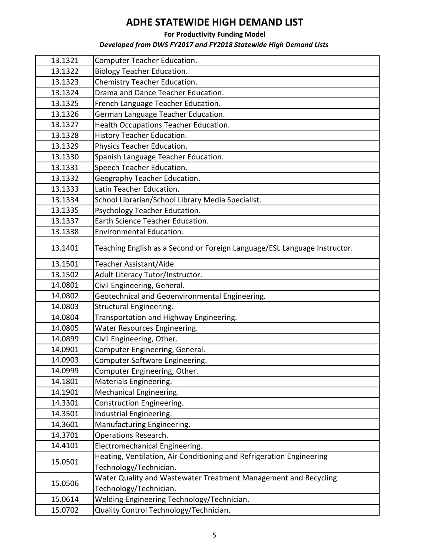**For Productivity Funding Model**

| 13.1321 | <b>Computer Teacher Education.</b>                                        |
|---------|---------------------------------------------------------------------------|
| 13.1322 | <b>Biology Teacher Education.</b>                                         |
| 13.1323 | Chemistry Teacher Education.                                              |
| 13.1324 | Drama and Dance Teacher Education.                                        |
| 13.1325 | French Language Teacher Education.                                        |
| 13.1326 | German Language Teacher Education.                                        |
| 13.1327 | Health Occupations Teacher Education.                                     |
| 13.1328 | History Teacher Education.                                                |
| 13.1329 | Physics Teacher Education.                                                |
| 13.1330 | Spanish Language Teacher Education.                                       |
| 13.1331 | Speech Teacher Education.                                                 |
| 13.1332 | Geography Teacher Education.                                              |
| 13.1333 | Latin Teacher Education.                                                  |
| 13.1334 | School Librarian/School Library Media Specialist.                         |
| 13.1335 | Psychology Teacher Education.                                             |
| 13.1337 | Earth Science Teacher Education.                                          |
| 13.1338 | Environmental Education.                                                  |
| 13.1401 | Teaching English as a Second or Foreign Language/ESL Language Instructor. |
| 13.1501 | Teacher Assistant/Aide.                                                   |
| 13.1502 | Adult Literacy Tutor/Instructor.                                          |
| 14.0801 | Civil Engineering, General.                                               |
| 14.0802 | Geotechnical and Geoenvironmental Engineering.                            |
| 14.0803 | Structural Engineering.                                                   |
| 14.0804 | Transportation and Highway Engineering.                                   |
| 14.0805 | Water Resources Engineering.                                              |
| 14.0899 | Civil Engineering, Other.                                                 |
| 14.0901 | Computer Engineering, General.                                            |
| 14.0903 | Computer Software Engineering.                                            |
| 14.0999 | Computer Engineering, Other.                                              |
| 14.1801 | Materials Engineering.                                                    |
| 14.1901 | Mechanical Engineering.                                                   |
| 14.3301 | Construction Engineering.                                                 |
| 14.3501 | Industrial Engineering.                                                   |
| 14.3601 | Manufacturing Engineering.                                                |
| 14.3701 | Operations Research.                                                      |
| 14.4101 | Electromechanical Engineering.                                            |
|         | Heating, Ventilation, Air Conditioning and Refrigeration Engineering      |
| 15.0501 | Technology/Technician.                                                    |
|         | Water Quality and Wastewater Treatment Management and Recycling           |
| 15.0506 | Technology/Technician.                                                    |
| 15.0614 | Welding Engineering Technology/Technician.                                |
| 15.0702 | Quality Control Technology/Technician.                                    |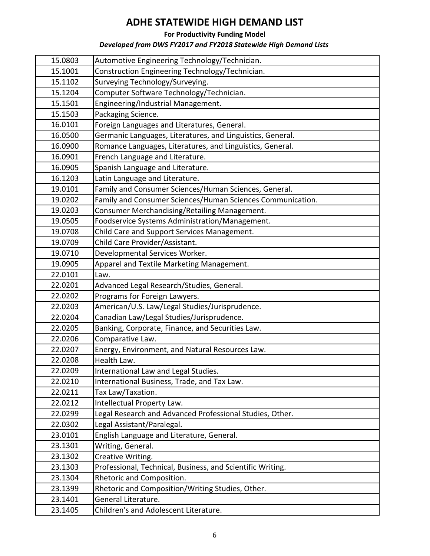**For Productivity Funding Model**

| 15.0803 | Automotive Engineering Technology/Technician.              |
|---------|------------------------------------------------------------|
| 15.1001 | Construction Engineering Technology/Technician.            |
| 15.1102 | Surveying Technology/Surveying.                            |
| 15.1204 | Computer Software Technology/Technician.                   |
| 15.1501 | Engineering/Industrial Management.                         |
| 15.1503 | Packaging Science.                                         |
| 16.0101 | Foreign Languages and Literatures, General.                |
| 16.0500 | Germanic Languages, Literatures, and Linguistics, General. |
| 16.0900 | Romance Languages, Literatures, and Linguistics, General.  |
| 16.0901 | French Language and Literature.                            |
| 16.0905 | Spanish Language and Literature.                           |
| 16.1203 | Latin Language and Literature.                             |
| 19.0101 | Family and Consumer Sciences/Human Sciences, General.      |
| 19.0202 | Family and Consumer Sciences/Human Sciences Communication. |
| 19.0203 | Consumer Merchandising/Retailing Management.               |
| 19.0505 | Foodservice Systems Administration/Management.             |
| 19.0708 | Child Care and Support Services Management.                |
| 19.0709 | Child Care Provider/Assistant.                             |
| 19.0710 | Developmental Services Worker.                             |
| 19.0905 | Apparel and Textile Marketing Management.                  |
| 22.0101 | Law.                                                       |
| 22.0201 | Advanced Legal Research/Studies, General.                  |
| 22.0202 | Programs for Foreign Lawyers.                              |
| 22.0203 | American/U.S. Law/Legal Studies/Jurisprudence.             |
| 22.0204 | Canadian Law/Legal Studies/Jurisprudence.                  |
| 22.0205 | Banking, Corporate, Finance, and Securities Law.           |
| 22.0206 | Comparative Law.                                           |
| 22.0207 | Energy, Environment, and Natural Resources Law.            |
| 22.0208 | Health Law.                                                |
| 22.0209 | International Law and Legal Studies.                       |
| 22.0210 | International Business, Trade, and Tax Law.                |
| 22.0211 | Tax Law/Taxation.                                          |
| 22.0212 | Intellectual Property Law.                                 |
| 22.0299 | Legal Research and Advanced Professional Studies, Other.   |
| 22.0302 | Legal Assistant/Paralegal.                                 |
| 23.0101 | English Language and Literature, General.                  |
| 23.1301 | Writing, General.                                          |
| 23.1302 | Creative Writing.                                          |
| 23.1303 | Professional, Technical, Business, and Scientific Writing. |
| 23.1304 | Rhetoric and Composition.                                  |
| 23.1399 | Rhetoric and Composition/Writing Studies, Other.           |
| 23.1401 | General Literature.                                        |
| 23.1405 | Children's and Adolescent Literature.                      |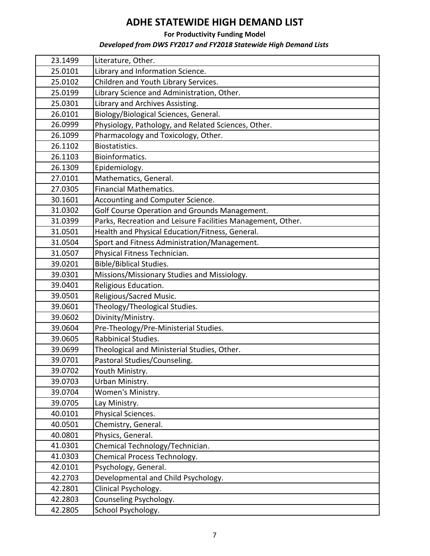**For Productivity Funding Model**

| 23.1499 | Literature, Other.                                          |
|---------|-------------------------------------------------------------|
| 25.0101 | Library and Information Science.                            |
| 25.0102 | Children and Youth Library Services.                        |
| 25.0199 | Library Science and Administration, Other.                  |
| 25.0301 | Library and Archives Assisting.                             |
| 26.0101 | Biology/Biological Sciences, General.                       |
| 26.0999 | Physiology, Pathology, and Related Sciences, Other.         |
| 26.1099 | Pharmacology and Toxicology, Other.                         |
| 26.1102 | Biostatistics.                                              |
| 26.1103 | Bioinformatics.                                             |
| 26.1309 | Epidemiology.                                               |
| 27.0101 | Mathematics, General.                                       |
| 27.0305 | <b>Financial Mathematics.</b>                               |
| 30.1601 | Accounting and Computer Science.                            |
| 31.0302 | Golf Course Operation and Grounds Management.               |
| 31.0399 | Parks, Recreation and Leisure Facilities Management, Other. |
| 31.0501 | Health and Physical Education/Fitness, General.             |
| 31.0504 | Sport and Fitness Administration/Management.                |
| 31.0507 | Physical Fitness Technician.                                |
| 39.0201 | <b>Bible/Biblical Studies.</b>                              |
| 39.0301 | Missions/Missionary Studies and Missiology.                 |
| 39.0401 | Religious Education.                                        |
| 39.0501 | Religious/Sacred Music.                                     |
| 39.0601 | Theology/Theological Studies.                               |
| 39.0602 | Divinity/Ministry.                                          |
| 39.0604 | Pre-Theology/Pre-Ministerial Studies.                       |
| 39.0605 | Rabbinical Studies.                                         |
| 39.0699 | Theological and Ministerial Studies, Other.                 |
| 39.0701 | Pastoral Studies/Counseling.                                |
| 39.0702 | Youth Ministry.                                             |
| 39.0703 | Urban Ministry.                                             |
| 39.0704 | Women's Ministry.                                           |
| 39.0705 | Lay Ministry.                                               |
| 40.0101 | Physical Sciences.                                          |
| 40.0501 | Chemistry, General.                                         |
| 40.0801 | Physics, General.                                           |
| 41.0301 | Chemical Technology/Technician.                             |
| 41.0303 | Chemical Process Technology.                                |
| 42.0101 | Psychology, General.                                        |
| 42.2703 | Developmental and Child Psychology.                         |
| 42.2801 | Clinical Psychology.                                        |
| 42.2803 | Counseling Psychology.                                      |
| 42.2805 | School Psychology.                                          |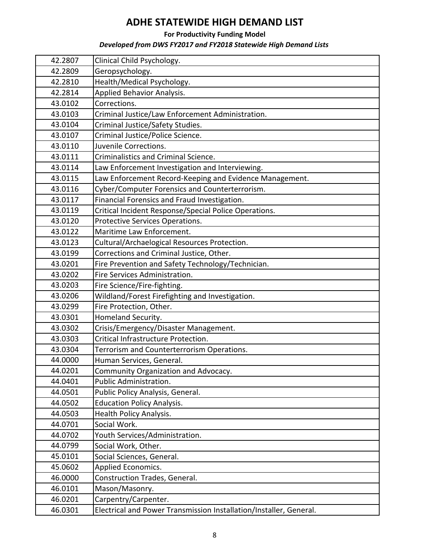**For Productivity Funding Model**

| 42.2807 | Clinical Child Psychology.                                         |
|---------|--------------------------------------------------------------------|
| 42.2809 | Geropsychology.                                                    |
| 42.2810 | Health/Medical Psychology.                                         |
| 42.2814 | Applied Behavior Analysis.                                         |
| 43.0102 | Corrections.                                                       |
| 43.0103 | Criminal Justice/Law Enforcement Administration.                   |
| 43.0104 | Criminal Justice/Safety Studies.                                   |
| 43.0107 | Criminal Justice/Police Science.                                   |
| 43.0110 | Juvenile Corrections.                                              |
| 43.0111 | <b>Criminalistics and Criminal Science.</b>                        |
| 43.0114 | Law Enforcement Investigation and Interviewing.                    |
| 43.0115 | Law Enforcement Record-Keeping and Evidence Management.            |
| 43.0116 | Cyber/Computer Forensics and Counterterrorism.                     |
| 43.0117 | Financial Forensics and Fraud Investigation.                       |
| 43.0119 | Critical Incident Response/Special Police Operations.              |
| 43.0120 | Protective Services Operations.                                    |
| 43.0122 | Maritime Law Enforcement.                                          |
| 43.0123 | Cultural/Archaelogical Resources Protection.                       |
| 43.0199 | Corrections and Criminal Justice, Other.                           |
| 43.0201 | Fire Prevention and Safety Technology/Technician.                  |
| 43.0202 | Fire Services Administration.                                      |
| 43.0203 | Fire Science/Fire-fighting.                                        |
| 43.0206 | Wildland/Forest Firefighting and Investigation.                    |
| 43.0299 | Fire Protection, Other.                                            |
| 43.0301 | Homeland Security.                                                 |
| 43.0302 | Crisis/Emergency/Disaster Management.                              |
| 43.0303 | Critical Infrastructure Protection.                                |
| 43.0304 | Terrorism and Counterterrorism Operations.                         |
| 44.0000 | Human Services, General.                                           |
| 44.0201 | Community Organization and Advocacy.                               |
| 44.0401 | <b>Public Administration.</b>                                      |
| 44.0501 | Public Policy Analysis, General.                                   |
| 44.0502 | <b>Education Policy Analysis.</b>                                  |
| 44.0503 | Health Policy Analysis.                                            |
| 44.0701 | Social Work.                                                       |
| 44.0702 | Youth Services/Administration.                                     |
| 44.0799 | Social Work, Other.                                                |
| 45.0101 | Social Sciences, General.                                          |
| 45.0602 | Applied Economics.                                                 |
| 46.0000 | Construction Trades, General.                                      |
| 46.0101 | Mason/Masonry.                                                     |
| 46.0201 | Carpentry/Carpenter.                                               |
| 46.0301 | Electrical and Power Transmission Installation/Installer, General. |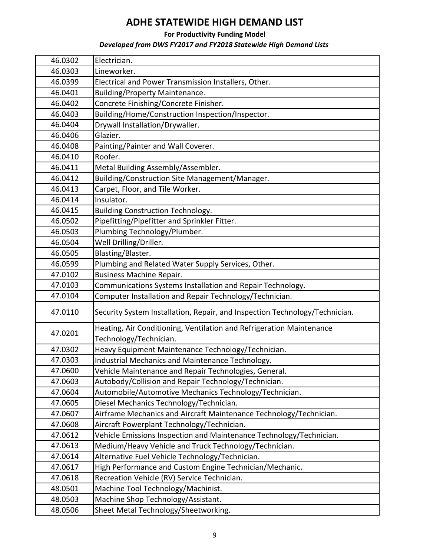**For Productivity Funding Model**

| 46.0302 | Electrician.                                                                |
|---------|-----------------------------------------------------------------------------|
| 46.0303 | Lineworker.                                                                 |
| 46.0399 | Electrical and Power Transmission Installers, Other.                        |
| 46.0401 | <b>Building/Property Maintenance.</b>                                       |
| 46.0402 | Concrete Finishing/Concrete Finisher.                                       |
| 46.0403 | Building/Home/Construction Inspection/Inspector.                            |
| 46.0404 | Drywall Installation/Drywaller.                                             |
| 46.0406 | Glazier.                                                                    |
| 46.0408 | Painting/Painter and Wall Coverer.                                          |
| 46.0410 | Roofer.                                                                     |
| 46.0411 | Metal Building Assembly/Assembler.                                          |
| 46.0412 | Building/Construction Site Management/Manager.                              |
| 46.0413 | Carpet, Floor, and Tile Worker.                                             |
| 46.0414 | Insulator.                                                                  |
| 46.0415 | <b>Building Construction Technology.</b>                                    |
| 46.0502 | Pipefitting/Pipefitter and Sprinkler Fitter.                                |
| 46.0503 | Plumbing Technology/Plumber.                                                |
| 46.0504 | Well Drilling/Driller.                                                      |
| 46.0505 | Blasting/Blaster.                                                           |
| 46.0599 | Plumbing and Related Water Supply Services, Other.                          |
| 47.0102 | Business Machine Repair.                                                    |
| 47.0103 | Communications Systems Installation and Repair Technology.                  |
| 47.0104 | Computer Installation and Repair Technology/Technician.                     |
| 47.0110 | Security System Installation, Repair, and Inspection Technology/Technician. |
| 47.0201 | Heating, Air Conditioning, Ventilation and Refrigeration Maintenance        |
|         | Technology/Technician.                                                      |
| 47.0302 | Heavy Equipment Maintenance Technology/Technician.                          |
| 47.0303 | Industrial Mechanics and Maintenance Technology.                            |
| 47.0600 | Vehicle Maintenance and Repair Technologies, General.                       |
| 47.0603 | Autobody/Collision and Repair Technology/Technician.                        |
| 47.0604 | Automobile/Automotive Mechanics Technology/Technician.                      |
| 47.0605 | Diesel Mechanics Technology/Technician.                                     |
| 47.0607 | Airframe Mechanics and Aircraft Maintenance Technology/Technician.          |
| 47.0608 | Aircraft Powerplant Technology/Technician.                                  |
| 47.0612 | Vehicle Emissions Inspection and Maintenance Technology/Technician.         |
| 47.0613 | Medium/Heavy Vehicle and Truck Technology/Technician.                       |
| 47.0614 | Alternative Fuel Vehicle Technology/Technician.                             |
| 47.0617 | High Performance and Custom Engine Technician/Mechanic.                     |
| 47.0618 | Recreation Vehicle (RV) Service Technician.                                 |
| 48.0501 | Machine Tool Technology/Machinist.                                          |
| 48.0503 | Machine Shop Technology/Assistant.                                          |
| 48.0506 | Sheet Metal Technology/Sheetworking.                                        |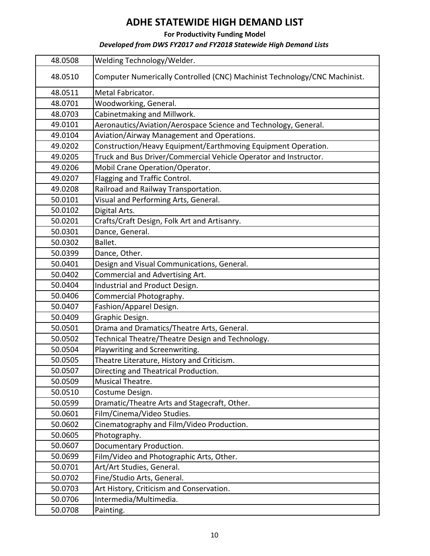**For Productivity Funding Model**

| 48.0508 | Welding Technology/Welder.                                                |
|---------|---------------------------------------------------------------------------|
| 48.0510 | Computer Numerically Controlled (CNC) Machinist Technology/CNC Machinist. |
| 48.0511 | Metal Fabricator.                                                         |
| 48.0701 | Woodworking, General.                                                     |
| 48.0703 | Cabinetmaking and Millwork.                                               |
| 49.0101 | Aeronautics/Aviation/Aerospace Science and Technology, General.           |
| 49.0104 | Aviation/Airway Management and Operations.                                |
| 49.0202 | Construction/Heavy Equipment/Earthmoving Equipment Operation.             |
| 49.0205 | Truck and Bus Driver/Commercial Vehicle Operator and Instructor.          |
| 49.0206 | Mobil Crane Operation/Operator.                                           |
| 49.0207 | Flagging and Traffic Control.                                             |
| 49.0208 | Railroad and Railway Transportation.                                      |
| 50.0101 | Visual and Performing Arts, General.                                      |
| 50.0102 | Digital Arts.                                                             |
| 50.0201 | Crafts/Craft Design, Folk Art and Artisanry.                              |
| 50.0301 | Dance, General.                                                           |
| 50.0302 | Ballet.                                                                   |
| 50.0399 | Dance, Other.                                                             |
| 50.0401 | Design and Visual Communications, General.                                |
| 50.0402 | Commercial and Advertising Art.                                           |
| 50.0404 | Industrial and Product Design.                                            |
| 50.0406 | Commercial Photography.                                                   |
| 50.0407 | Fashion/Apparel Design.                                                   |
| 50.0409 | Graphic Design.                                                           |
| 50.0501 | Drama and Dramatics/Theatre Arts, General.                                |
| 50.0502 | Technical Theatre/Theatre Design and Technology.                          |
| 50.0504 | Playwriting and Screenwriting.                                            |
| 50.0505 | Theatre Literature, History and Criticism.                                |
| 50.0507 | Directing and Theatrical Production.                                      |
| 50.0509 | Musical Theatre.                                                          |
| 50.0510 | Costume Design.                                                           |
| 50.0599 | Dramatic/Theatre Arts and Stagecraft, Other.                              |
| 50.0601 | Film/Cinema/Video Studies.                                                |
| 50.0602 | Cinematography and Film/Video Production.                                 |
| 50.0605 | Photography.                                                              |
| 50.0607 | Documentary Production.                                                   |
| 50.0699 | Film/Video and Photographic Arts, Other.                                  |
| 50.0701 | Art/Art Studies, General.                                                 |
| 50.0702 | Fine/Studio Arts, General.                                                |
| 50.0703 | Art History, Criticism and Conservation.                                  |
| 50.0706 | Intermedia/Multimedia.                                                    |
| 50.0708 | Painting.                                                                 |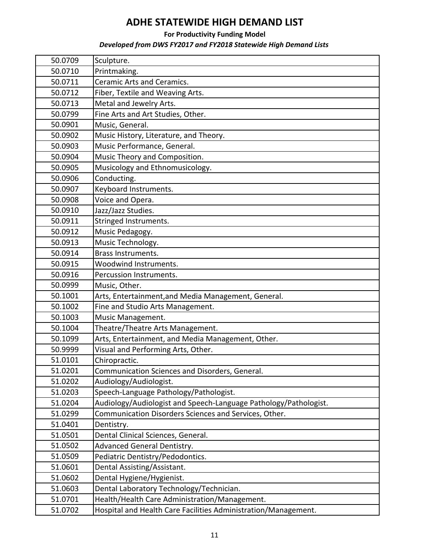**For Productivity Funding Model**

| 50.0709 | Sculpture.                                                       |
|---------|------------------------------------------------------------------|
| 50.0710 | Printmaking.                                                     |
| 50.0711 | <b>Ceramic Arts and Ceramics.</b>                                |
| 50.0712 | Fiber, Textile and Weaving Arts.                                 |
| 50.0713 | Metal and Jewelry Arts.                                          |
| 50.0799 | Fine Arts and Art Studies, Other.                                |
| 50.0901 | Music, General.                                                  |
| 50.0902 | Music History, Literature, and Theory.                           |
| 50.0903 | Music Performance, General.                                      |
| 50.0904 | Music Theory and Composition.                                    |
| 50.0905 | Musicology and Ethnomusicology.                                  |
| 50.0906 | Conducting.                                                      |
| 50.0907 | Keyboard Instruments.                                            |
| 50.0908 | Voice and Opera.                                                 |
| 50.0910 | Jazz/Jazz Studies.                                               |
| 50.0911 | Stringed Instruments.                                            |
| 50.0912 | Music Pedagogy.                                                  |
| 50.0913 | Music Technology.                                                |
| 50.0914 | <b>Brass Instruments.</b>                                        |
| 50.0915 | Woodwind Instruments.                                            |
| 50.0916 | Percussion Instruments.                                          |
| 50.0999 | Music, Other.                                                    |
| 50.1001 | Arts, Entertainment, and Media Management, General.              |
| 50.1002 | Fine and Studio Arts Management.                                 |
| 50.1003 | Music Management.                                                |
| 50.1004 | Theatre/Theatre Arts Management.                                 |
| 50.1099 | Arts, Entertainment, and Media Management, Other.                |
| 50.9999 | Visual and Performing Arts, Other.                               |
| 51.0101 | Chiropractic.                                                    |
| 51.0201 | Communication Sciences and Disorders, General.                   |
| 51.0202 | Audiology/Audiologist.                                           |
| 51.0203 | Speech-Language Pathology/Pathologist.                           |
| 51.0204 | Audiology/Audiologist and Speech-Language Pathology/Pathologist. |
| 51.0299 | Communication Disorders Sciences and Services, Other.            |
| 51.0401 | Dentistry.                                                       |
| 51.0501 | Dental Clinical Sciences, General.                               |
| 51.0502 | Advanced General Dentistry.                                      |
| 51.0509 | Pediatric Dentistry/Pedodontics.                                 |
| 51.0601 | Dental Assisting/Assistant.                                      |
| 51.0602 | Dental Hygiene/Hygienist.                                        |
| 51.0603 | Dental Laboratory Technology/Technician.                         |
| 51.0701 | Health/Health Care Administration/Management.                    |
| 51.0702 | Hospital and Health Care Facilities Administration/Management.   |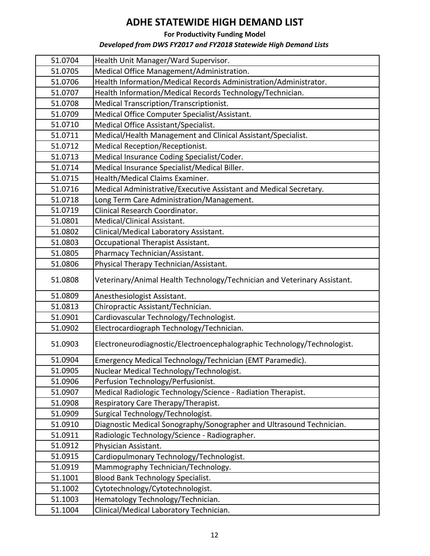**For Productivity Funding Model**

| 51.0704 | Health Unit Manager/Ward Supervisor.                                     |
|---------|--------------------------------------------------------------------------|
| 51.0705 | Medical Office Management/Administration.                                |
| 51.0706 | Health Information/Medical Records Administration/Administrator.         |
| 51.0707 | Health Information/Medical Records Technology/Technician.                |
| 51.0708 | Medical Transcription/Transcriptionist.                                  |
| 51.0709 | Medical Office Computer Specialist/Assistant.                            |
| 51.0710 | Medical Office Assistant/Specialist.                                     |
| 51.0711 | Medical/Health Management and Clinical Assistant/Specialist.             |
| 51.0712 | Medical Reception/Receptionist.                                          |
| 51.0713 | Medical Insurance Coding Specialist/Coder.                               |
| 51.0714 | Medical Insurance Specialist/Medical Biller.                             |
| 51.0715 | Health/Medical Claims Examiner.                                          |
| 51.0716 | Medical Administrative/Executive Assistant and Medical Secretary.        |
| 51.0718 | Long Term Care Administration/Management.                                |
| 51.0719 | Clinical Research Coordinator.                                           |
| 51.0801 | Medical/Clinical Assistant.                                              |
| 51.0802 | Clinical/Medical Laboratory Assistant.                                   |
| 51.0803 | Occupational Therapist Assistant.                                        |
| 51.0805 | Pharmacy Technician/Assistant.                                           |
| 51.0806 | Physical Therapy Technician/Assistant.                                   |
| 51.0808 | Veterinary/Animal Health Technology/Technician and Veterinary Assistant. |
| 51.0809 | Anesthesiologist Assistant.                                              |
| 51.0813 | Chiropractic Assistant/Technician.                                       |
| 51.0901 | Cardiovascular Technology/Technologist.                                  |
| 51.0902 | Electrocardiograph Technology/Technician.                                |
|         |                                                                          |
| 51.0903 | Electroneurodiagnostic/Electroencephalographic Technology/Technologist.  |
| 51.0904 | Emergency Medical Technology/Technician (EMT Paramedic).                 |
| 51.0905 | Nuclear Medical Technology/Technologist.                                 |
| 51.0906 | Perfusion Technology/Perfusionist.                                       |
| 51.0907 | Medical Radiologic Technology/Science - Radiation Therapist.             |
| 51.0908 | Respiratory Care Therapy/Therapist.                                      |
| 51.0909 | Surgical Technology/Technologist.                                        |
| 51.0910 | Diagnostic Medical Sonography/Sonographer and Ultrasound Technician.     |
| 51.0911 | Radiologic Technology/Science - Radiographer.                            |
| 51.0912 | Physician Assistant.                                                     |
| 51.0915 | Cardiopulmonary Technology/Technologist.                                 |
| 51.0919 | Mammography Technician/Technology.                                       |
| 51.1001 | <b>Blood Bank Technology Specialist.</b>                                 |
| 51.1002 | Cytotechnology/Cytotechnologist.                                         |
| 51.1003 | Hematology Technology/Technician.                                        |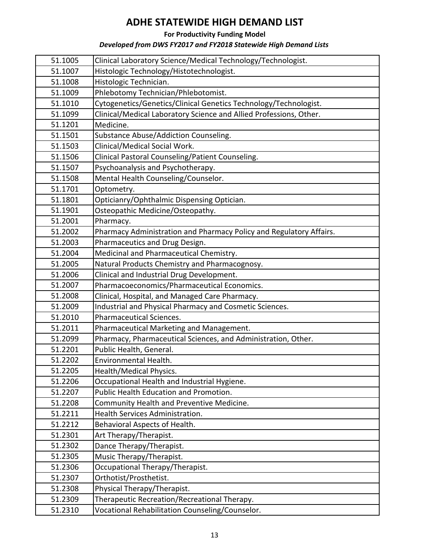**For Productivity Funding Model**

| 51.1005 | Clinical Laboratory Science/Medical Technology/Technologist.        |
|---------|---------------------------------------------------------------------|
| 51.1007 | Histologic Technology/Histotechnologist.                            |
| 51.1008 | Histologic Technician.                                              |
| 51.1009 | Phlebotomy Technician/Phlebotomist.                                 |
| 51.1010 | Cytogenetics/Genetics/Clinical Genetics Technology/Technologist.    |
| 51.1099 | Clinical/Medical Laboratory Science and Allied Professions, Other.  |
| 51.1201 | Medicine.                                                           |
| 51.1501 | Substance Abuse/Addiction Counseling.                               |
| 51.1503 | Clinical/Medical Social Work.                                       |
| 51.1506 | Clinical Pastoral Counseling/Patient Counseling.                    |
| 51.1507 | Psychoanalysis and Psychotherapy.                                   |
| 51.1508 | Mental Health Counseling/Counselor.                                 |
| 51.1701 | Optometry.                                                          |
| 51.1801 | Opticianry/Ophthalmic Dispensing Optician.                          |
| 51.1901 | Osteopathic Medicine/Osteopathy.                                    |
| 51.2001 | Pharmacy.                                                           |
| 51.2002 | Pharmacy Administration and Pharmacy Policy and Regulatory Affairs. |
| 51.2003 | Pharmaceutics and Drug Design.                                      |
| 51.2004 | Medicinal and Pharmaceutical Chemistry.                             |
| 51.2005 | Natural Products Chemistry and Pharmacognosy.                       |
| 51.2006 | Clinical and Industrial Drug Development.                           |
| 51.2007 | Pharmacoeconomics/Pharmaceutical Economics.                         |
| 51.2008 | Clinical, Hospital, and Managed Care Pharmacy.                      |
| 51.2009 | Industrial and Physical Pharmacy and Cosmetic Sciences.             |
| 51.2010 | Pharmaceutical Sciences.                                            |
| 51.2011 | Pharmaceutical Marketing and Management.                            |
| 51.2099 | Pharmacy, Pharmaceutical Sciences, and Administration, Other.       |
| 51.2201 | Public Health, General.                                             |
| 51.2202 | Environmental Health.                                               |
| 51.2205 | Health/Medical Physics.                                             |
| 51.2206 | Occupational Health and Industrial Hygiene.                         |
| 51.2207 | Public Health Education and Promotion.                              |
| 51.2208 | Community Health and Preventive Medicine.                           |
| 51.2211 | Health Services Administration.                                     |
| 51.2212 | Behavioral Aspects of Health.                                       |
| 51.2301 | Art Therapy/Therapist.                                              |
| 51.2302 | Dance Therapy/Therapist.                                            |
| 51.2305 | Music Therapy/Therapist.                                            |
| 51.2306 | Occupational Therapy/Therapist.                                     |
| 51.2307 | Orthotist/Prosthetist.                                              |
| 51.2308 | Physical Therapy/Therapist.                                         |
| 51.2309 | Therapeutic Recreation/Recreational Therapy.                        |
| 51.2310 | Vocational Rehabilitation Counseling/Counselor.                     |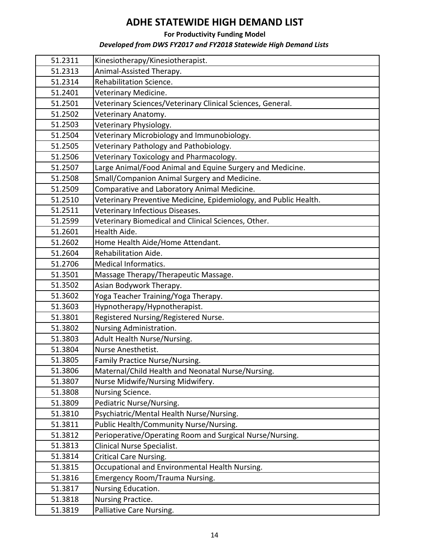**For Productivity Funding Model**

| 51.2311 | Kinesiotherapy/Kinesiotherapist.                                 |
|---------|------------------------------------------------------------------|
| 51.2313 | Animal-Assisted Therapy.                                         |
| 51.2314 | Rehabilitation Science.                                          |
| 51.2401 | Veterinary Medicine.                                             |
| 51.2501 | Veterinary Sciences/Veterinary Clinical Sciences, General.       |
| 51.2502 | Veterinary Anatomy.                                              |
| 51.2503 | Veterinary Physiology.                                           |
| 51.2504 | Veterinary Microbiology and Immunobiology.                       |
| 51.2505 | Veterinary Pathology and Pathobiology.                           |
| 51.2506 | Veterinary Toxicology and Pharmacology.                          |
| 51.2507 | Large Animal/Food Animal and Equine Surgery and Medicine.        |
| 51.2508 | Small/Companion Animal Surgery and Medicine.                     |
| 51.2509 | Comparative and Laboratory Animal Medicine.                      |
| 51.2510 | Veterinary Preventive Medicine, Epidemiology, and Public Health. |
| 51.2511 | Veterinary Infectious Diseases.                                  |
| 51.2599 | Veterinary Biomedical and Clinical Sciences, Other.              |
| 51.2601 | Health Aide.                                                     |
| 51.2602 | Home Health Aide/Home Attendant.                                 |
| 51.2604 | Rehabilitation Aide.                                             |
| 51.2706 | Medical Informatics.                                             |
| 51.3501 | Massage Therapy/Therapeutic Massage.                             |
| 51.3502 | Asian Bodywork Therapy.                                          |
| 51.3602 | Yoga Teacher Training/Yoga Therapy.                              |
| 51.3603 | Hypnotherapy/Hypnotherapist.                                     |
| 51.3801 | Registered Nursing/Registered Nurse.                             |
| 51.3802 | Nursing Administration.                                          |
| 51.3803 | Adult Health Nurse/Nursing.                                      |
| 51.3804 | Nurse Anesthetist.                                               |
| 51.3805 | Family Practice Nurse/Nursing.                                   |
| 51.3806 | Maternal/Child Health and Neonatal Nurse/Nursing.                |
| 51.3807 | Nurse Midwife/Nursing Midwifery.                                 |
| 51.3808 | Nursing Science.                                                 |
| 51.3809 | Pediatric Nurse/Nursing.                                         |
| 51.3810 | Psychiatric/Mental Health Nurse/Nursing.                         |
| 51.3811 | Public Health/Community Nurse/Nursing.                           |
| 51.3812 | Perioperative/Operating Room and Surgical Nurse/Nursing.         |
| 51.3813 | Clinical Nurse Specialist.                                       |
| 51.3814 | <b>Critical Care Nursing.</b>                                    |
| 51.3815 | Occupational and Environmental Health Nursing.                   |
| 51.3816 | Emergency Room/Trauma Nursing.                                   |
| 51.3817 | Nursing Education.                                               |
| 51.3818 | Nursing Practice.                                                |
| 51.3819 | Palliative Care Nursing.                                         |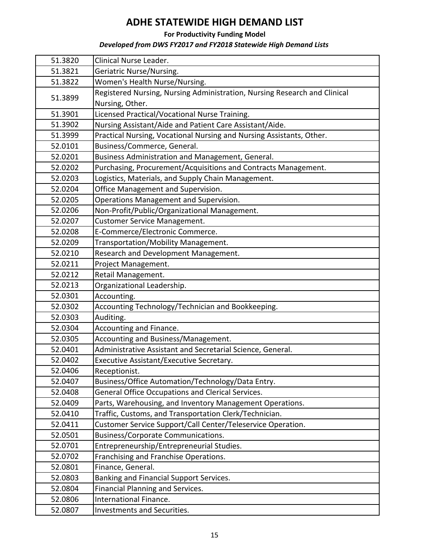#### **For Productivity Funding Model**

| 51.3820 | Clinical Nurse Leader.                                                    |
|---------|---------------------------------------------------------------------------|
| 51.3821 | Geriatric Nurse/Nursing.                                                  |
| 51.3822 | Women's Health Nurse/Nursing.                                             |
| 51.3899 | Registered Nursing, Nursing Administration, Nursing Research and Clinical |
|         | Nursing, Other.                                                           |
| 51.3901 | Licensed Practical/Vocational Nurse Training.                             |
| 51.3902 | Nursing Assistant/Aide and Patient Care Assistant/Aide.                   |
| 51.3999 | Practical Nursing, Vocational Nursing and Nursing Assistants, Other.      |
| 52.0101 | Business/Commerce, General.                                               |
| 52.0201 | Business Administration and Management, General.                          |
| 52.0202 | Purchasing, Procurement/Acquisitions and Contracts Management.            |
| 52.0203 | Logistics, Materials, and Supply Chain Management.                        |
| 52.0204 | Office Management and Supervision.                                        |
| 52.0205 | Operations Management and Supervision.                                    |
| 52.0206 | Non-Profit/Public/Organizational Management.                              |
| 52.0207 | Customer Service Management.                                              |
| 52.0208 | E-Commerce/Electronic Commerce.                                           |
| 52.0209 | Transportation/Mobility Management.                                       |
| 52.0210 | Research and Development Management.                                      |
| 52.0211 | Project Management.                                                       |
| 52.0212 | Retail Management.                                                        |
| 52.0213 | Organizational Leadership.                                                |
| 52.0301 | Accounting.                                                               |
| 52.0302 | Accounting Technology/Technician and Bookkeeping.                         |
| 52.0303 | Auditing.                                                                 |
| 52.0304 | Accounting and Finance.                                                   |
| 52.0305 | Accounting and Business/Management.                                       |
| 52.0401 | Administrative Assistant and Secretarial Science, General.                |
| 52.0402 | Executive Assistant/Executive Secretary.                                  |
| 52.0406 | Receptionist.                                                             |
| 52.0407 | Business/Office Automation/Technology/Data Entry.                         |
| 52.0408 | General Office Occupations and Clerical Services.                         |
| 52.0409 | Parts, Warehousing, and Inventory Management Operations.                  |
| 52.0410 | Traffic, Customs, and Transportation Clerk/Technician.                    |
| 52.0411 | Customer Service Support/Call Center/Teleservice Operation.               |
| 52.0501 | Business/Corporate Communications.                                        |
| 52.0701 | Entrepreneurship/Entrepreneurial Studies.                                 |
| 52.0702 | Franchising and Franchise Operations.                                     |
| 52.0801 | Finance, General.                                                         |
| 52.0803 | Banking and Financial Support Services.                                   |
| 52.0804 | Financial Planning and Services.                                          |
| 52.0806 | International Finance.                                                    |
| 52.0807 | Investments and Securities.                                               |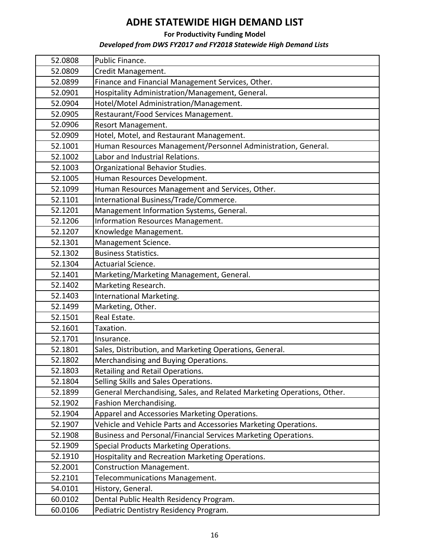**For Productivity Funding Model**

| 52.0808 | Public Finance.                                                        |
|---------|------------------------------------------------------------------------|
| 52.0809 | Credit Management.                                                     |
| 52.0899 | Finance and Financial Management Services, Other.                      |
| 52.0901 | Hospitality Administration/Management, General.                        |
| 52.0904 | Hotel/Motel Administration/Management.                                 |
| 52.0905 | Restaurant/Food Services Management.                                   |
| 52.0906 | Resort Management.                                                     |
| 52.0909 | Hotel, Motel, and Restaurant Management.                               |
| 52.1001 | Human Resources Management/Personnel Administration, General.          |
| 52.1002 | Labor and Industrial Relations.                                        |
| 52.1003 | Organizational Behavior Studies.                                       |
| 52.1005 | Human Resources Development.                                           |
| 52.1099 | Human Resources Management and Services, Other.                        |
| 52.1101 | International Business/Trade/Commerce.                                 |
| 52.1201 | Management Information Systems, General.                               |
| 52.1206 | <b>Information Resources Management.</b>                               |
| 52.1207 | Knowledge Management.                                                  |
| 52.1301 | Management Science.                                                    |
| 52.1302 | <b>Business Statistics.</b>                                            |
| 52.1304 | Actuarial Science.                                                     |
| 52.1401 | Marketing/Marketing Management, General.                               |
| 52.1402 | Marketing Research.                                                    |
| 52.1403 | International Marketing.                                               |
| 52.1499 | Marketing, Other.                                                      |
| 52.1501 | Real Estate.                                                           |
| 52.1601 | Taxation.                                                              |
| 52.1701 | Insurance.                                                             |
| 52.1801 | Sales, Distribution, and Marketing Operations, General.                |
| 52.1802 | Merchandising and Buying Operations.                                   |
| 52.1803 | Retailing and Retail Operations.                                       |
| 52.1804 | Selling Skills and Sales Operations.                                   |
| 52.1899 | General Merchandising, Sales, and Related Marketing Operations, Other. |
| 52.1902 | Fashion Merchandising.                                                 |
| 52.1904 | Apparel and Accessories Marketing Operations.                          |
| 52.1907 | Vehicle and Vehicle Parts and Accessories Marketing Operations.        |
| 52.1908 | Business and Personal/Financial Services Marketing Operations.         |
| 52.1909 | Special Products Marketing Operations.                                 |
| 52.1910 | Hospitality and Recreation Marketing Operations.                       |
| 52.2001 | <b>Construction Management.</b>                                        |
| 52.2101 | Telecommunications Management.                                         |
| 54.0101 | History, General.                                                      |
| 60.0102 | Dental Public Health Residency Program.                                |
| 60.0106 | Pediatric Dentistry Residency Program.                                 |